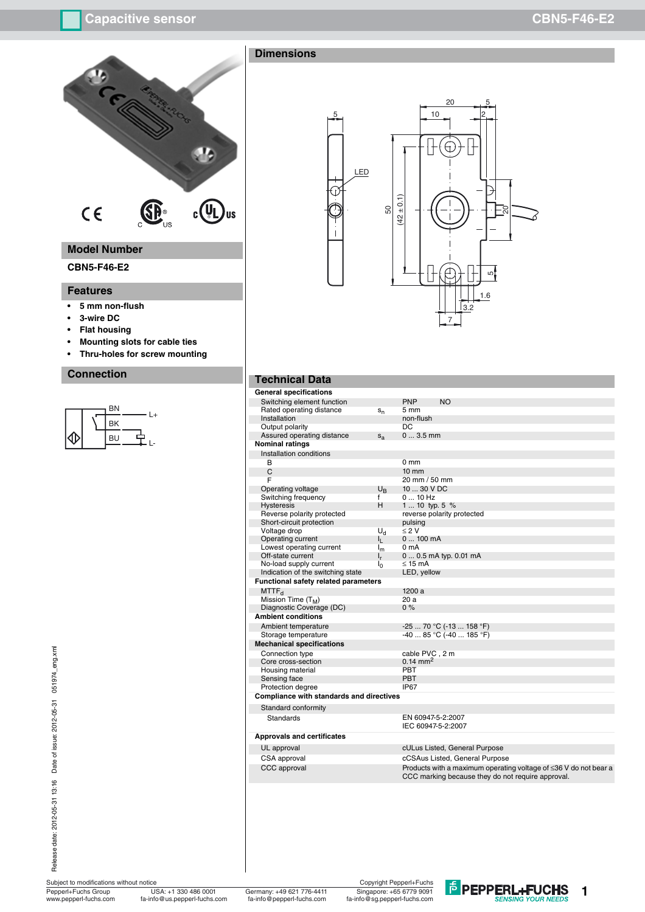

# **Model Number**

### **CBN5-F46-E2**

### **Features**

- **5 mm non-flush**
- **3-wire DC**
- **Flat housing**
- **Mounting slots for cable ties**
- **Thru-holes for screw mounting**

### **Connection**

### BN<br>BK  $\perp$ 로.. ⇕ **BU**  $\overline{\phantom{0}}$

Release date: 2012-05-31 13:16 Date of issue: 2012-05-31 051974\_eng.xml Release date: 2012-05-31 13:16 Date of issue: 2012-05-31 051974\_eng.xml

Subject to modifications without notice Pepperl+Fuchs Group<br>www.pepperl-fuchs.com

www.pepperl-fuchs.com fa-info@us.pepperl-fuchs.com fa-info@pepperl-fuchs.com USA: +1 330 486 0001



**1**





### **Technical Data**

| <b>General specifications</b>                   |                |                            |                                                                  |
|-------------------------------------------------|----------------|----------------------------|------------------------------------------------------------------|
| Switching element function                      |                | <b>PNP</b>                 | <b>NO</b>                                                        |
| Rated operating distance                        | $S_n$          | 5 mm                       |                                                                  |
| Installation                                    |                | non-flush                  |                                                                  |
| Output polarity                                 |                | DC.                        |                                                                  |
| Assured operating distance                      | $S_{a}$        | $03.5$ mm                  |                                                                  |
| Nominal ratings                                 |                |                            |                                                                  |
| Installation conditions                         |                |                            |                                                                  |
| B                                               |                | 0 <sub>mm</sub>            |                                                                  |
| C                                               |                | $10 \text{ mm}$            |                                                                  |
| F                                               |                | 20 mm / 50 mm              |                                                                  |
| Operating voltage                               | $U_B$          | 10  30 V DC                |                                                                  |
| Switching frequency                             | f              | $010$ Hz                   |                                                                  |
| <b>Hysteresis</b>                               | H.             | 1  10 typ. 5 %             |                                                                  |
| Reverse polarity protected                      |                | reverse polarity protected |                                                                  |
| Short-circuit protection                        |                | pulsing                    |                                                                  |
| Voltage drop                                    | $U_{\rm d}$    | $\leq 2$ V                 |                                                                  |
| Operating current                               | կ_             | 0100mA                     |                                                                  |
| Lowest operating current                        | $I_m$          | 0 <sub>m</sub> A           |                                                                  |
| Off-state current                               | $I_r$          |                            | 0  0.5 mA typ. 0.01 mA                                           |
| No-load supply current                          | ı <sub>0</sub> | $\leq$ 15 mA               |                                                                  |
| Indication of the switching state               |                | LED, yellow                |                                                                  |
| <b>Functional safety related parameters</b>     |                |                            |                                                                  |
| MTTF <sub>d</sub>                               |                | 1200 a                     |                                                                  |
| Mission Time (T <sub>M</sub> )                  |                | 20a                        |                                                                  |
| Diagnostic Coverage (DC)                        |                | 0%                         |                                                                  |
| <b>Ambient conditions</b>                       |                |                            |                                                                  |
| Ambient temperature                             |                |                            | $-2570 °C (-13158 °F)$                                           |
| Storage temperature                             |                |                            | $-4085$ °C ( $-40185$ °F)                                        |
| <b>Mechanical specifications</b>                |                |                            |                                                                  |
| Connection type                                 |                | cable PVC, 2 m             |                                                                  |
| Core cross-section                              |                | $0.14 \text{ mm}^2$        |                                                                  |
| Housing material                                |                | <b>PBT</b>                 |                                                                  |
| Sensing face                                    |                | <b>PBT</b>                 |                                                                  |
| Protection degree                               |                | IP67                       |                                                                  |
| <b>Compliance with standards and directives</b> |                |                            |                                                                  |
|                                                 |                |                            |                                                                  |
| Standard conformity                             |                |                            |                                                                  |
| Standards                                       |                | EN 60947-5-2:2007          |                                                                  |
|                                                 |                | IEC 60947-5-2:2007         |                                                                  |
| <b>Approvals and certificates</b>               |                |                            |                                                                  |
| UL approval                                     |                |                            | cULus Listed, General Purpose                                    |
| CSA approval                                    |                |                            | cCSAus Listed, General Purpose                                   |
| <b>CCC</b> approval                             |                |                            | Products with a maximum operating voltage of ≤36 V do not bear a |
|                                                 |                |                            | CCC marking because they do not require approval.                |
|                                                 |                |                            |                                                                  |
|                                                 |                |                            |                                                                  |
|                                                 |                |                            |                                                                  |
|                                                 |                |                            |                                                                  |
|                                                 |                |                            |                                                                  |
|                                                 |                |                            |                                                                  |